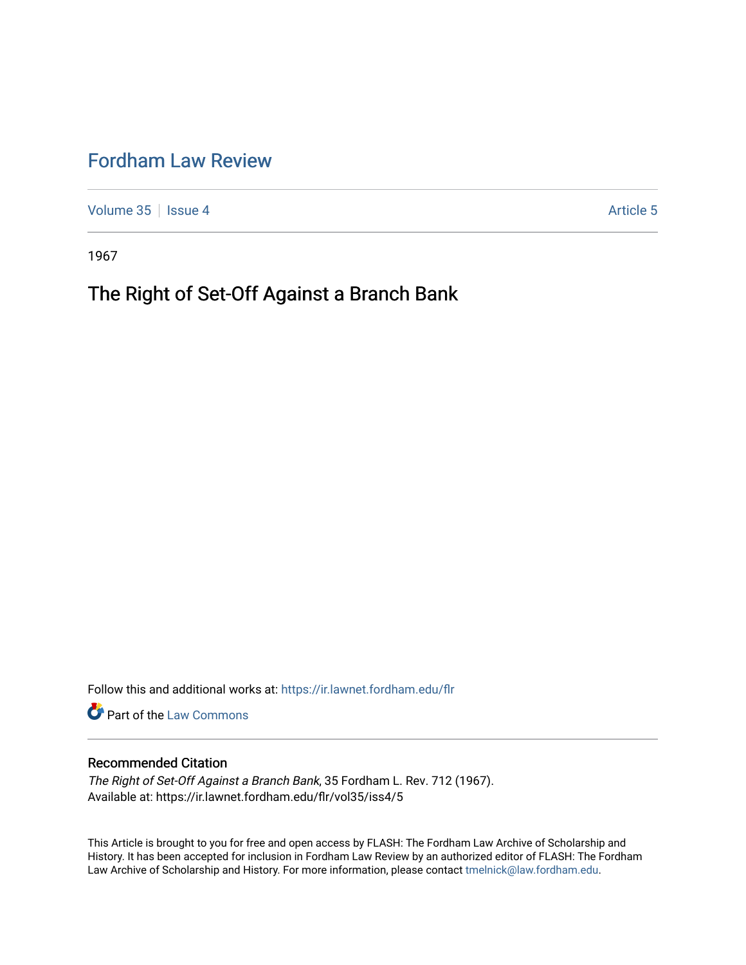# [Fordham Law Review](https://ir.lawnet.fordham.edu/flr)

[Volume 35](https://ir.lawnet.fordham.edu/flr/vol35) | [Issue 4](https://ir.lawnet.fordham.edu/flr/vol35/iss4) Article 5

1967

# The Right of Set-Off Against a Branch Bank

Follow this and additional works at: [https://ir.lawnet.fordham.edu/flr](https://ir.lawnet.fordham.edu/flr?utm_source=ir.lawnet.fordham.edu%2Fflr%2Fvol35%2Fiss4%2F5&utm_medium=PDF&utm_campaign=PDFCoverPages)

**Part of the [Law Commons](http://network.bepress.com/hgg/discipline/578?utm_source=ir.lawnet.fordham.edu%2Fflr%2Fvol35%2Fiss4%2F5&utm_medium=PDF&utm_campaign=PDFCoverPages)** 

# Recommended Citation

The Right of Set-Off Against a Branch Bank, 35 Fordham L. Rev. 712 (1967). Available at: https://ir.lawnet.fordham.edu/flr/vol35/iss4/5

This Article is brought to you for free and open access by FLASH: The Fordham Law Archive of Scholarship and History. It has been accepted for inclusion in Fordham Law Review by an authorized editor of FLASH: The Fordham Law Archive of Scholarship and History. For more information, please contact [tmelnick@law.fordham.edu](mailto:tmelnick@law.fordham.edu).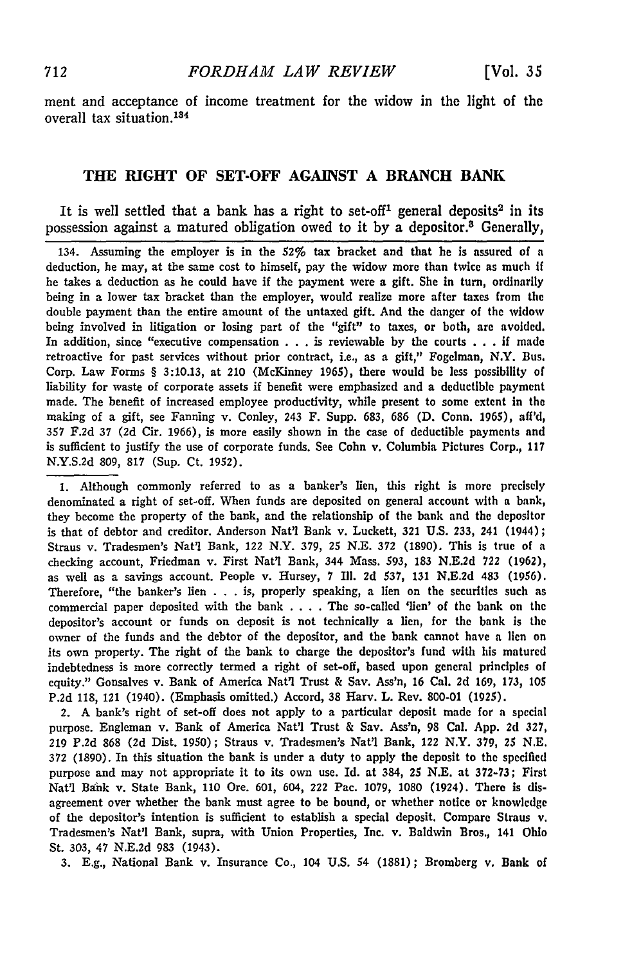ment and acceptance of income treatment for the widow in the light of the overall tax situation.<sup>134</sup>

#### **THE RIGHT OF SET-OFF AGAINST A BRANCH BANK**

It is well settled that a bank has a right to set-off<sup>1</sup> general deposits<sup>2</sup> in its possession against a matured obligation owed to it **by** a depositor. 8 Generally,

134. Assuming the employer is in the 52% tax bracket and that **he** is assured of **a** deduction, he may, at the same cost to himself, pay the widow more than twice as much If he takes a deduction as he could have if the payment were a gift. **She** in turn, ordinarily being in a lower tax bracket than the employer, would realize more after taxes from the double payment than the entire amount of the untaxed gift. And the danger of the widow being involved in litigation or losing part of the "gift" to taxes, or both, **are** avoided. In addition, since "executive compensation . . . is reviewable by the courts . . . if made retroactive for past services without prior contract, i.e., as a gift," Fogelman, N.Y. Bus. Corp. Law Forms § 3:10.13, at 210 (McKinney 1965), there would be less possibility of liability for waste of corporate assets if benefit were emphasized and a deductible payment made. The benefit of increased employee productivity, while present to some extent in the making of a gift, see Fanning v. Conley, 243 F. Supp. 683, 686 **(D.** Conn. 1965), aff'd, 357 F.2d 37 (2d Cir. 1966), is more easily shown in the case of deductible payments and is sufficient to justify the use of corporate funds. See Cohn v. Columbia Pictures Corp., **117** N.Y.S.2d 809, 817 (Sup. Ct. 1952).

1. Although commonly referred to as a banker's lien, this right is more precisely denominated a right of set-off. When funds are deposited on general account with a bank, they become the property of the bank, and the relationship of the bank and the depositor is that of debtor and creditor. Anderson Nat'l Bank v. Luckett, 321 U.S. **233,** 241 (1944); Straus v. Tradesmen's Nat'l Bank, 122 N.Y. 379, *25* N.E. **372** (1890). This is true of a checking account, Friedman v. First Nat'l Bank, 344 Mass. 593, 183 **N.E.2d 722** (1962), as well as a savings account. People v. Hursey, 7 Ill. **2d** 537, 131 N.E.2d 483 (1956). Therefore, "the banker's lien . . . is, properly speaking, a lien on the securities such as commercial paper deposited with the bank . **. .** . The so-called 'lien' of the bank on the depositor's account or funds on deposit is not technically a lien, for the bank is the owner of the funds and the debtor of the depositor, and the bank cannot have a lien on its own property. The right of the bank to charge the depositor's fund with his matured indebtedness is more correctly termed a right of set-off, based upon general principles of equity." Gonsalves v. Bank of America Nat'l Trust & Say. Ass'n, 16 Cal. 2d 169, 173, 105 P.2d 118, 121 (1940). (Emphasis omitted.) Accord, 38 Harv. L. Rev. 800-01 (1925).

2. A bank's right of set-off does not apply to a particular deposit made for a special purpose. Engleman v. Bank of America Nat'l Trust & Say. Ass'n, 98 Cal. App. 2d 327, 219 P.2d 868 (2d Dist. 1950); Straus v. Tradesmen's Nat'l Bank, 122 N.Y. 379, 25 N.E. 372 (1890). In this situation the bank is under a duty to apply the deposit to the specified purpose and may not appropriate it to its own use. Id. at 384, 25 **N.E.** at 372-73; First Nat'l Bank v. State Bank, 110 Ore. 601, 604, 222 Pac. 1079, 1080 (1924). There is disagreement over whether the bank must agree to be bound, or whether notice or knowledge of the depositor's intention is sufficient to establish a special deposit. Compare Straus v. Tradesmen's Nat'l Bank, supra, with Union Properties, Inc. v. Baldwin Bros., 141 Ohio St. 303, 47 N.E.2d 983 (1943).

3. E.g., National Bank v. Insurance Co., 104 U.S. 54 (1881); Bromberg v. Bank of

712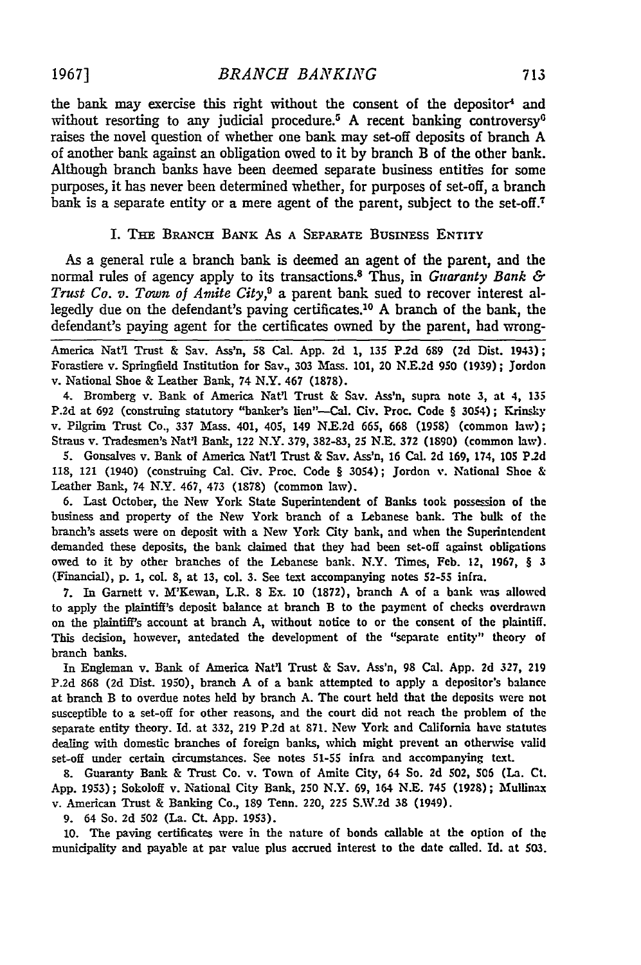*BRANCH BANKING*

the bank may exercise this right without the consent of the depositor<sup>4</sup> and without resorting to any judicial procedure.<sup>5</sup> A recent banking controversy<sup>6</sup> raises the novel question of whether one bank may set-off deposits of branch A of another bank against an obligation owed to it by branch B of the other bank. Although branch banks have been deemed separate business entities for some purposes, it has never been determined whether, for purposes of set-off, a branch bank is a separate entity or a mere agent of the parent, subject to the set-off.<sup>7</sup>

#### I. THE BRANcH BANK AS **A** SEPARATE BusINEss ENTITY

As a general rule a branch bank is deemed an agent of the parent, and the normal rules of agency apply to its transactions.8 Thus, in *Guaranty Bank & Trust Co. v. Town of Amite City,9* a parent bank sued to recover interest allegedly due on the defendant's paving certificates.10 **A** branch of the bank, the defendant's paying agent for the certificates owned **by** the parent, had wrong-

America Natl Trust & Say. Ass'n, **58** Cal. **App. 2d** 1, **135 P.2d 689 (2d Dist.** 1943); Forastiere v. Springfield Institution for Say, **303** Mass. 101, 20 **N.E.2d 950 (1939) ;** Jordon v. National Shoe & Leather Bank, 74 N.Y. 467 **(1878).**

4. Bromberg v. Bank of America Nat'1 Trust & Say. Ass'n, supra note **3,** at 4, **135** P.2d at 692 (construing statutory "banker's lien"--Cal. Civ. Proc. Code § 3054); Krinsky v. Pilgrim Trust Co., **337** Mass. 401, 405, 149 **N.E.2d 665, 668** (1958) (common law); Straus v. Tradesmen's Nat'l Bank, 122 N.Y. **379,** 3824L3, **25 N.E.** 372 **(1890)** (common law).

**S.** Gonsalves v. Bank of America Nat'1 Trust & Say. Ass'n, **16** Cal. **2d** 169, 174, **105 P.2d 118,** 121 (1940) (construing Cal. Civ. Proc. Code § 3054); Jordon v. National Shoe & Leather Bank, 74 N.Y. 467, 473 **(1878)** (common law).

**6.** Last October, the New York State Superintendent of Banks took possession of the business and property of the New York branch of a Lebanese bank. The bulk of the branch's assets were on deposit with a New York City bank, and when the Superintendent demanded these deposits, the bank claimed that they had been set-off against obligations owed to it **by** other branches of the Lebanese bank. N.Y. Times, **Feb.** 12, 1967, § 3 (Financial), **p. 1, col. 8,** at **13,** col. **3.** See text accompanying notes 52-55 infra.

**7.** In Garnett v. M'Kewan, L.R. 8 **Ex. 10 (1872),** branch A of a bank was allowed to apply the plaintiff's deposit balance at branch B to the payment of checks overdrawn on the plaintiff's account at branch **A,** without notice to or the consent of the plaintiff. This decision, however, antedated the development of the "separate entity" theory of branch banks.

In Engleman. v. Bank of America **Natl** Trust & Say. Ass'n, **98** Cal. **App. 2d 327, 219 P.2d 868 (2d** Dist. **1950),** branch **A** of a bank attempted to apply a depositor's balance at branch B to overdue notes held **by** branch **A.** The court held that the deposits were not susceptible to a set-off for other reasons, and the court did not reach the problem of the separate entity theory. Id. at **332, 219 P.2d** at **871.** New York and California have statutes dealing with domestic branches of foreign banks, which might prevent an otherwise **valid** set-off under certain circumstances. See notes **51-55** infra and accompanying text.

**8.** Guaranty Bank & Trust Co. v. Town of Amite City, 64 So. **2d** 502, **506** (La. Ct. **App. 1953);** Sokoloff v. National City Bank, 250 N.Y. **69,** 164 **N.E.** *745* **(1928);** Mullinax v. American Trust & Banking Co., **189** Tenn. 220, **225** S.W.2d **38** (1949).

**9.** 64 So. **2d 502** (La. **Ct. App. 1953).**

**10.** The paving certificates were in the nature of bonds callable at the option of the municipality and payable at par value plus accrued interest to the date called. Id. at **503.**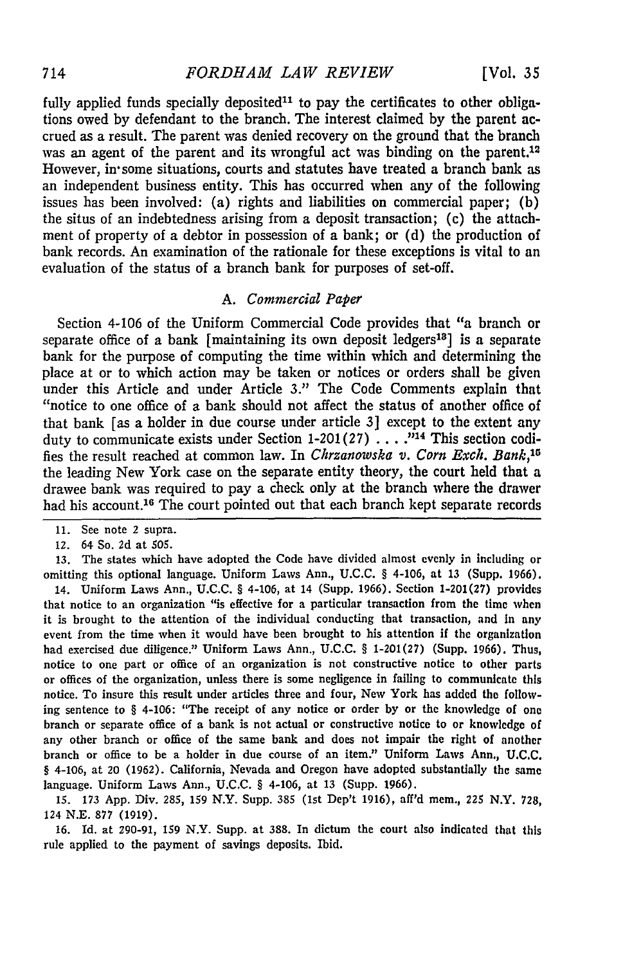fully applied funds specially deposited<sup>11</sup> to pay the certificates to other obligations owed by defendant to the branch. The interest claimed by the parent accrued as a result. The parent was denied recovery on the ground that the branch was an agent of the parent and its wrongful act was binding on the parent.<sup>12</sup> However, in some situations, courts and statutes have treated a branch bank as an independent business entity. This has occurred when any of the following issues has been involved: (a) rights and liabilities on commercial paper; (b) the situs of an indebtedness arising from a deposit transaction; (c) the attachment of property of a debtor in possession of a bank; or **(d)** the production of bank records. An examination of the rationale for these exceptions is vital to an evaluation of the status of a branch bank for purposes of set-off.

#### *A. Commercial Paper*

Section 4-106 of the Uniform Commercial Code provides that "a branch or separate office of a bank [maintaining its own deposit ledgers<sup>13</sup>] is a separate bank for the purpose of computing the time within which and determining the place at or to which action may be taken or notices or orders shall be given under this Article and under Article *3."* The Code Comments explain that "notice to one office of a bank should not affect the status of another office of that bank [as a holder in due course under article 3] except to the extent any duty to communicate exists under Section 1-201 (27) **.... "14** This section codifies the result reached at common law. In *Chrzanowska v. Corn Exch. Bank,<sup>1</sup>* the leading New York case on the separate entity theory, the court held that a drawee bank was required to pay a check only at the branch where the drawer had his account.<sup>16</sup> The court pointed out that each branch kept separate records

**12.** 64 So. **2d** at 505.

13. The states which have adopted the Code have divided almost evenly in including or omitting this optional language. Uniform Laws Ann., U.C.C. § 4-106, at 13 (Supp. 1966).

14. Uniform Laws Ann., U.C.C. § 4-106, at 14 (Supp. 1966). Section 1-201(27) provides that notice to an organization "is effective for a particular transaction from the time when it is brought to the attention of the individual conducting that transaction, and In any event from the time when it would have been brought to his attention if the organization had exercised due diligence." Uniform Laws Ann., **U.C.C.** § **1-201 (27)** (Supp. **1966).** Thus, notice to one part or office of an organization is not constructive notice to other parts or offices of the organization, unless there is some negligence in failing to communicate this notice. To insure this result under articles three and four, New York has added the following sentence to § 4-106: "The receipt of any notice or order **by** or the knowledge of one branch or separate office of a bank is not actual or constructive notice to or knowledge of any other branch or office of the same bank and does not impair the right of another branch or office to be a holder in due course of an item." Uniform Laws Ann., **U.C.C.** § 4-106, at 20 **(1962).** California, Nevada and Oregon have adopted substantially the same language. Uniform Laws Ann., **U.C.C.** § 4-106, at **13** (Supp. **1966).**

**15. 173 App.** Div. **285, 159** N.Y. Supp. **385** (1st Dep't **1916),** aff'd mem., 225 N.Y. **728,** 124 **N.E.** 877 (1919).

16. Id. at 290-91, 159 N.Y. Supp. at 388. In dictum the court also indicated that this rule applied to the payment of savings deposits. Ibid.

**<sup>11.</sup>** See note 2 supra.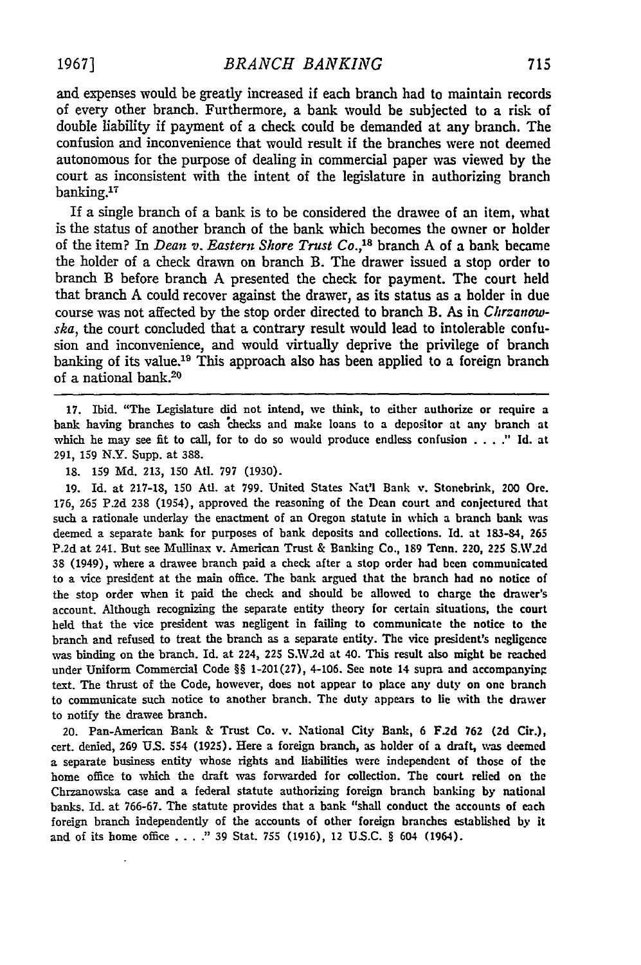and expenses would be greatly increased if each branch had to maintain records of every other branch. Furthermore, a bank would be subjected to a risk of double liability if payment of a check could be demanded at any branch. The confusion and inconvenience that would result if the branches were not deemed autonomous for the purpose of dealing in commercial paper was viewed by the court as inconsistent with the intent of the legislature in authorizing branch banking.<sup>17</sup>

If a single branch of a bank is to be considered the drawee of an item, what is the status of another branch of the bank which becomes the owner or holder of the item? In *Dean v. Eastern Shore Trust Co.,<sup>18</sup>*branch A of a bank became the holder of a check drawn on branch B. The drawer issued a stop order to branch B before branch A presented the check for payment. The court held that branch A could recover against the drawer, as its status as a holder in due course was not affected by the stop order directed to branch B. As in *Chrzanowska,* the court concluded that a contrary result would lead to intolerable confusion and inconvenience, and would virtually deprive the privilege of branch banking of its value.<sup>19</sup> This approach also has been applied to a foreign branch of a national bank.<sup>20</sup>

17. Ibid. "The Legislature did not intend, we think, to either authorize or require a bank having branches to cash checks and make loans to a depositor at any branch at which he may see fit to call, for to do so would produce endless confusion .... **Id.** at **291, 159** N.Y. Supp. at 388.

18. 159 **Md.** 213, 150 Atl. **797** (1930).

19. Id. at 217-18, 150 AUt. at 799. United States Nat'l Bank v. Stonebrink, 200 Ore. 176, 265 P.2d 238 (1954), approved the reasoning of the Dean court and conjectured that such a rationale underlay the enactment of an Oregon statute in which a branch bank **was** deemed a separate bank for purposes of bank deposits and collections. Id. at 183-84, **<sup>265</sup>** P.2d at 241. But see Mullinax v. American Trust & Banking Co., 189 Tenn. 220, 225 S.W.2d 38 (1949), where a drawee branch paid a check after a stop order had been communicated to a vice president at the main office. The bank argued that the branch had no notice of the stop order when it paid the check and should be allowed to charge the drawer's account. Although recognizing the separate entity theory for certain situations, the court held that the vice president was negligent in failing to communicate the notice to the branch and refused to treat the branch as a separate entity. The vice president's negligence was binding on the branch. Id. at 224, **225** S.W.2d at 40. This result also might be reached under Uniform Commercial Code §§ 1-201(27), 4-106. See note 14 supra and accompanying text. The thrust of the Code, however, does not appear to place any duty on one branch to communicate such notice to another branch. The duty appears to lie with the drawer to notify the drawee branch.

20. Pan-American Bank & Trust Co. v. National City Bank, **6 F.2d 762 (2d** Cir.), cert. denied, **269** U.S. 554 **(1925).** Here a foreign branch, as holder of a draft, was deemed a separate business entity whose rights and liabilities were independent of those of the home office to which the draft was forwarded for collection. The court relied on the Chrzanowska case and a federal statute authorizing foreign branch banking by national banks. Id. at 766-67. The statute provides that a bank "shall conduct the accounts of each foreign branch independently of the accounts of other foreign branches established **by** it and of its home office . **. . ."** 39 Stat. 755 (1916), 12 **US.C.** § 604 (1964).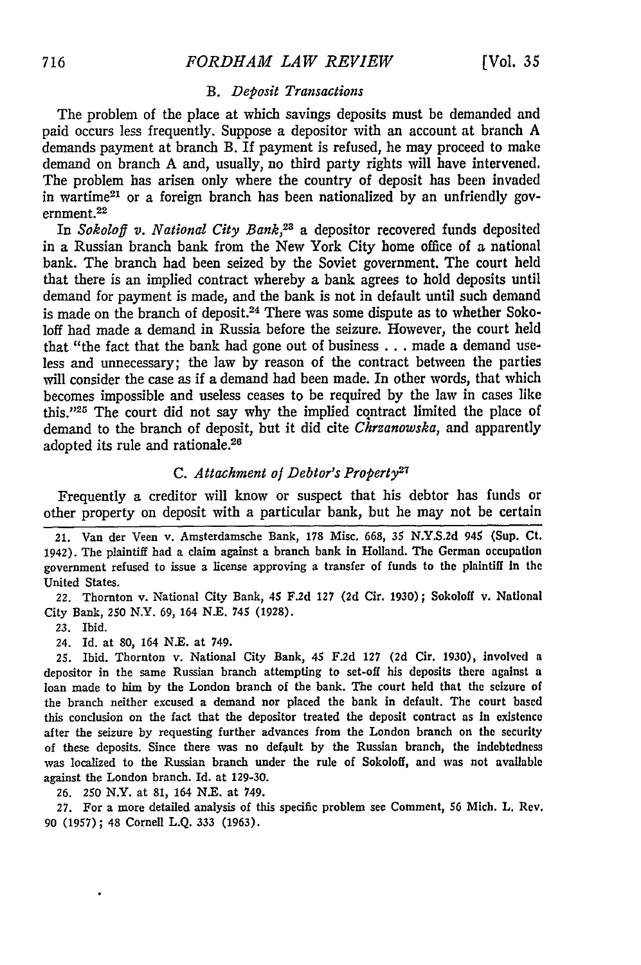#### *B. Deposit Transactions*

The problem of the place at which savings deposits must be demanded and paid occurs less frequently. Suppose a depositor with an account at branch A demands payment at branch B. If payment is refused, he may proceed to make demand on branch A and, usually, no third party rights will have intervened. The problem has arisen only where the country of deposit has been invaded in wartime<sup>21</sup> or a foreign branch has been nationalized by an unfriendly government. 22

In *Sokoloff v. National City Bank,23* a depositor recovered funds deposited in a Russian branch bank from the New York City home office of a national bank. The branch had been seized by the Soviet government. The court held that there is an implied contract whereby a bank agrees to hold deposits until demand for payment is made, and the bank is not in default until such demand is made on the branch of deposit.<sup>24</sup> There was some dispute as to whether Sokoloff had made a demand in Russia before the seizure. However, the court held that "the fact that the bank had gone out of business **...** made a demand useless and unnecessary; the law by reason of the contract between the parties will consider the case as if a demand had been made. In other words, that which becomes impossible and useless ceases to be required by the law in cases like this."<sup>25</sup> The court did not say why the implied contract limited the place of demand to the branch of deposit, but it did cite *Chrzanowska,* and apparently adopted its rule and rationale.<sup>26</sup>

### *C. Attachment of Debtor's Property27*

Frequently a creditor will know or suspect that his debtor has funds or other property on deposit with a particular bank, but he may not be certain

22. Thornton v. National City Bank, 45 **F.2d 127 (2d** Cir. 1930); Sokoloff v. National City Bank, **250** N.Y. 69, 164 N.E. 745 (1928).

24. Id. at 80, 164 N.E. at 749.

25. Ibid. Thornton v. National City Bank, 45 **F.2d** 127 **(2d** Cir. 1930), involved a depositor in the same Russian branch attempting to set-off his deposits there against a loan made to him **by** the London branch of the bank. The court held that the seizure of the branch neither excused a demand nor placed the bank in default. The court based this conclusion on the fact that the depositor treated the deposit contract as in existence after the seizure by requesting further advances from the London branch on the security of these deposits. Since there was no default **by** the Russian branch, the indebtedness was localized to the Russian branch under the rule of Sokoloff, and was not available against the London branch. **Id.** at **129-30.**

**26. 250** N.Y. at 81, 164 N.E. at 749.

27. For a more detailed analysis of this specific problem see Comment, **56** Mich. L. Rev. 90 **(1957);** 48 Cornell **L.Q. 333** (1963).

<sup>21.</sup> Van der Veen v. Amsterdamsche Bank, 178 Misc. **668, 35** N.Y.S.2d *945* (Sup. Ct. 1942). **The** plaintiff had a claim against a branch bank in Holland. The German occupation government refused to issue a license approving a transfer of funds to the plaintiff In the United States.

**<sup>23.</sup>** Ibid.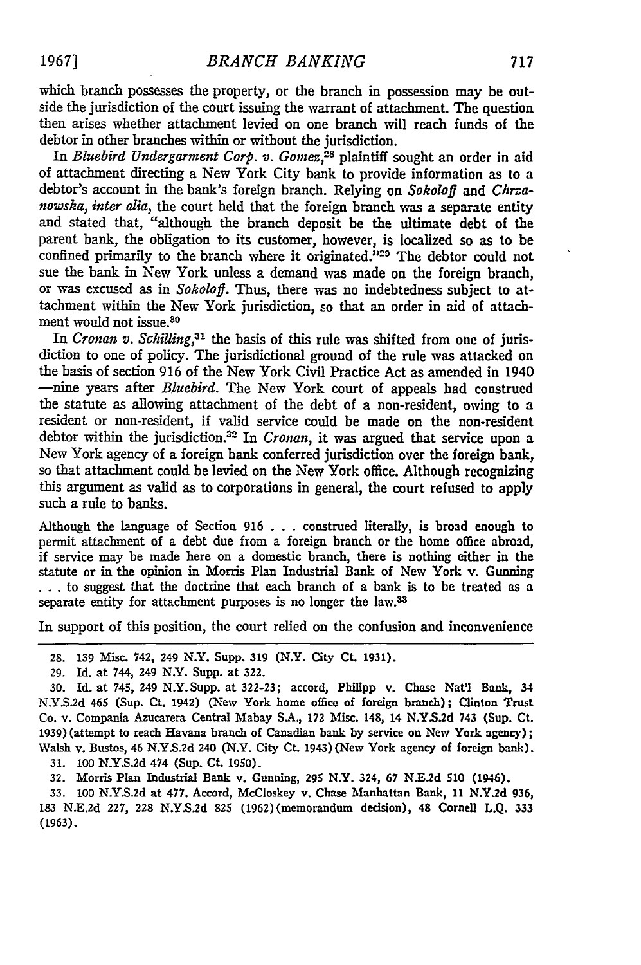which branch possesses the property, or the branch in possession may be outside the jurisdiction of the court issuing the warrant of attachment. The question then arises whether attachment levied on one branch will reach funds of the debtor in other branches within or without the jurisdiction.

In *Bluebird Undergarment Corp. v. Gomez*,<sup>28</sup> plaintiff sought an order in aid of attachment directing a New York City bank to provide information as to a debtor's account in the bank's foreign branch. Relying on *Sokoloff and Chrzanowska, inter alia,* the court held that the foreign branch was a separate entity and stated that, "although the branch deposit be the ultimate debt of the parent bank, the obligation to its customer, however, is localized so as to be confined primarily to the branch where it originated."<sup>29</sup> The debtor could not sue the bank in New York unless a demand was made on the foreign branch, or was excused as in *Sokoloff.* Thus, there was no indebtedness subject to attachment within the New York jurisdiction, so that an order in aid of attachment would not issue.30

In *Cronan v. Schilling*,<sup>31</sup> the basis of this rule was shifted from one of jurisdiction to one of policy. The jurisdictional ground of the rule was attacked on the basis of section 916 of the New York Civil Practice Act as amended in 1940 -nine years after *Bluebird.* The New York court of appeals had construed the statute as allowing attachment of the debt of a non-resident, owing to a resident or non-resident, if valid service could be made on the non-resident debtor within the jurisdiction.<sup>32</sup> In *Cronan*, it was argued that service upon a New York agency of a foreign bank conferred jurisdiction over the foreign bank, so that attachment could be levied on the New York office. Although recognizing this argument as valid as to corporations in general, the court refused to apply such a rule to banks.

Although the language of Section 916 . . . construed literally, is broad enough to permit attachment of a debt due from a foreign branch or the home office abroad, if service may be made here on a domestic branch, there is nothing either in the statute or in the opinion in Morris Plan Industrial Bank of New York v. Gunning **...** to suggest that the doctrine that each branch of a bank is to be treated as a separate entity for attachment purposes is no longer the law. $33$ 

In support of this position, the court relied on the confusion and inconvenience

29. Id. at 744, 249 N.Y. Supp. at 322.

30. Id. at 745, 249 N.Y.Supp. at 322-23; accord, Philipp v. Chase Nat!l Bank, 34 N.Y.S.2d 465 (Sup. Ct. 1942) (New York home office of foreign branch); Clinton Trust Co. v. Compania Azucarera Central Mabay S.A., 172 Misc. 148, 14 N.Y.S.2d 743 (Sup. Ct. 1939) (attempt to reach Havana branch of Canadian bank **by** service on New York agency); Walsh v. Bustos, 46 N.Y.S.2d 240 (N.Y. City **Ct.** 1943) (New York agency of foreign bank). 31. **100 N.YS.2d** 474 (Sup. Ct. 1950).

32. Morris Plan Industrial Bank v. Gunning, 295 N.Y. 324, 67 NE.2d **510** (1946).

33. **100** N.Y.S.2d at 477. Accord, McCioskey v. Chase Manhattan Bank, **11** N.Y.2d **936, 183** N.E.2d 227, 228 N.YS.2d 825 (1962) (memorandum decision), 48 Cornell L.Q. 333 **(1963).**

<sup>28.</sup> **139** Misc. 742, 249 N.Y. Supp. 319 (N.Y. City Ct. 1931).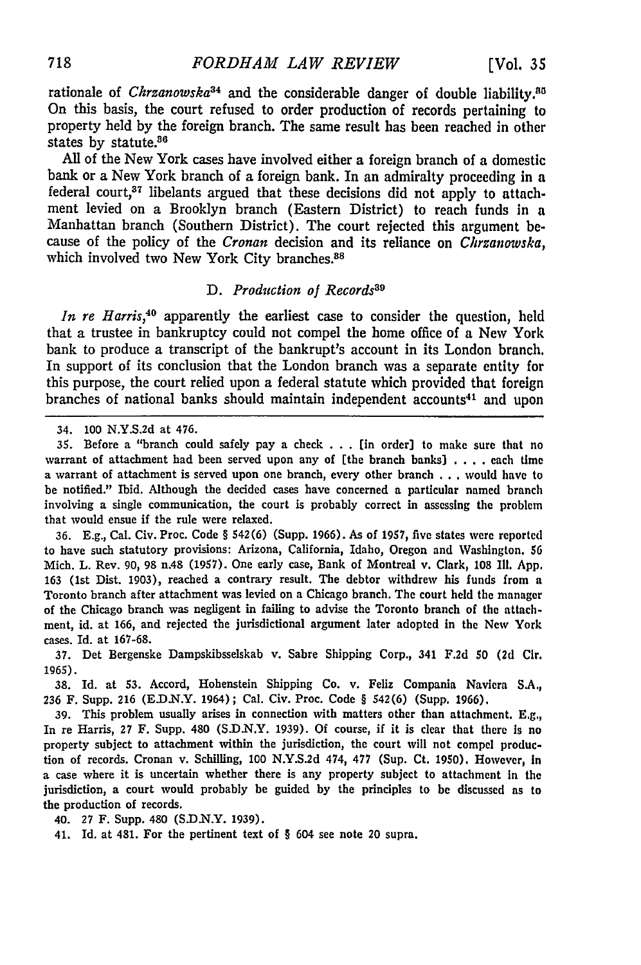rationale of *Chrzanowska*<sup>34</sup> and the considerable danger of double liability.<sup>85</sup> On this basis, the court refused to order production of records pertaining to property held by the foreign branch. The same result has been reached in other states by statute.<sup>86</sup>

All of the New York cases have involved either a foreign branch of a domestic bank or a New York branch of a foreign bank. In an admiralty proceeding in a federal court,<sup>37</sup> libelants argued that these decisions did not apply to attachment levied on a Brooklyn branch (Eastern District) to reach funds in a Manhattan branch (Southern District). The court rejected this argument because of the policy of the *Cronan* decision and its reliance on *Chrzanowvska,* which involved two New York City branches.<sup>88</sup>

#### *D. Production of Records"9*

*In re Harris,40* apparently the earliest case to consider the question, held that a trustee in bankruptcy could not compel the home office of a New York bank to produce a transcript of the bankrupt's account in its London branch. In support of its conclusion that the London branch was a separate entity for this purpose, the court relied upon a federal statute which provided that foreign branches of national banks should maintain independent accounts<sup>41</sup> and upon

**35.** Before a "branch could safely pay a check .**..** (in order] to make sure that no warrant of attachment had been served upon any of [the branch banks) .... each time a warrant of attachment is served upon one branch, every other branch **...** would have to be notified." Ibid. Although the decided cases have concerned a particular named branch involving a single communication, the court is probably correct in assessing the problem that would ensue if the rule were relaxed.

**36. E.g.,** Cal. Civ. Proc. Code § 542(6) (Supp. 1966). As of **1957,** five states were reported to have such statutory provisions: Arizona, California, Idaho, Oregon and Washington. **56** Mich. L. Rev. **90, 98** n.48 (1957). One early case, Bank of Montreal v. Clark, **108** Il1. App. **163** (Ist Dist. 1903), reached a contrary result. The debtor withdrew his funds from a Toronto branch after attachment was levied on a Chicago branch. The court held the manager of the Chicago branch was negligent in failing to advise the Toronto branch of the attachment, id. at **166,** and rejected the jurisdictional argument later adopted in the New York cases. Id. at 167-68.

**37.** Det Bergenske Dampskibsselskab v. Sabre Shipping Corp., 341 F.2d 50 **(2d** Cir. 1965).

**38.** Id. at **53.** Accord, Hohenstein Shipping Co. v. Feliz Compania Naviera S.A., **236** F. Supp. **216 (E.D.N.Y.** 1964); Cal. Civ. Proc. Code § 542(6) (Supp. 1966).

**39.** This problem usually arises in connection with matters other than attachment. E.g., In re Harris, 27 F. Supp. 480 (S.D.N.Y. 1939). Of course, if it is clear that there is no property subject to attachment within the jurisdiction, the court will not compel production of records. Cronan v. Schilling, 100 N.Y.S.2d 474, **477** (Sup. Ct. 1950). However, In a case where it is uncertain whether there is any property subject to attachment In the jurisdiction, a court would probably be guided by the principles to be discussed as to the production of records.

40. **27** F. Supp. 480 (S.D.N.Y. **1939).**

41. Id. at 481. For the pertinent text of § 604 see note 20 supra.

<sup>34.</sup> **100 N.Y.S.2d** at 476.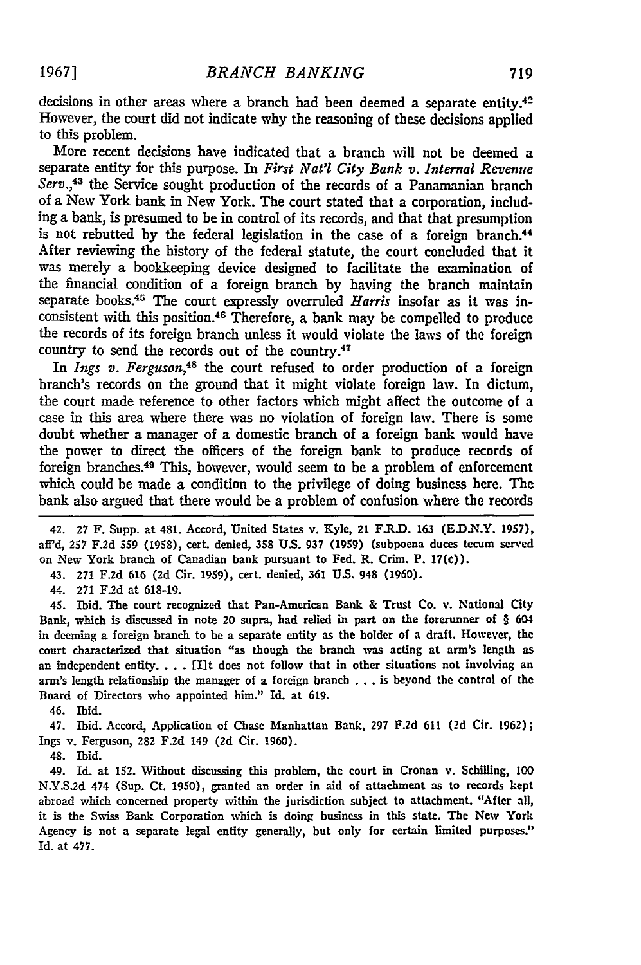decisions in other areas where a branch had been deemed a separate entity.<sup>42</sup> However, the court did not indicate why the reasoning of these decisions applied to this problem.

More recent decisions have indicated that a branch will not be deemed a separate entity for this purpose. In *First Nat'l City Bank v. Internal Revenue Serv.,43* the Service sought production of the records of a Panamanian branch of a New York bank in New York. The court stated that a corporation, including a bank, is presumed to be in control of its records, and that that presumption is not rebutted by the federal legislation in the case of a foreign branch.<sup>44</sup> After reviewing the history of the federal statute, the court concluded that it was merely a bookkeeping device designed to facilitate the examination of the financial condition of a foreign branch by having the branch maintain separate books.45 The court expressly overruled *Harris* insofar as it was inconsistent with this position.46 Therefore, a bank may be compelled to produce the records of its foreign branch unless it would violate the laws of the foreign country to send the records out of the country.<sup>47</sup>

In *Ings v. Ferguson,48* the court refused to order production of a foreign branch's records on the ground that it might violate foreign law. In dictum, the court made reference to other factors which might affect the outcome of a case in this area where there was no violation of foreign law. There is some doubt whether a manager of a domestic branch of a foreign bank would have the power to direct the officers of the foreign bank to produce records of foreign branches.49 This, however, would seem to be a problem of enforcement which could be made a condition to the privilege of doing business here. The bank also argued that there would be a problem of confusion where the records

42. 27 F. Supp. at 481. Accord, United States v. Kyle, 21 F.R.D. 163 (E.D.N.Y. 1957), aff'd, 257 F.2d 559 (1958), cert. denied, 358 U.S. 937 (1959) (subpoena duces tecum served on New York branch of Canadian bank pursuant to Fed. R. Crim. P. 17(c)).

43. 271 **F.2d** 616 (2d Cir. 1959), cert. denied, 361 U.S. 948 (1960).

44. 271 F.2d at 618-19.

45. Ibid. The court recognized that Pan-American Bank & Trust Co. v. National City Bank, which is discussed in note 20 supra, had relied in part on the forerunner of § 604 in deeming a foreign branch to be a separate entity as the holder of a draft. However, the court characterized that situation "as though the branch was acting at arm's length as an independent entity. . . . [I]t does not follow that in other situations not involving an arm's length relationship the manager of a foreign branch .. .is beyond the control of the Board of Directors who appointed him." Id. at 619.

46. Ibid.

47. Ibid. Accord, Application of Chase Manhattan Bank, **297** F.2d 611 **(2d** Cir. 1962); Ings v. Ferguson, 282 F.2d 149 (2d Cir. 1960).

48. Ibid.

49. Id. at 152. Without discussing this problem, the court in Cronan v. Schilling, **<sup>100</sup>** N.Y.S.2d 474 (Sup. Ct. 1950), granted an order in aid of attachment as to records kept abroad which concerned property within the jurisdiction subject to attachment. "After all, it is the Swiss Bank Corporation which is doing business in this state. The New York Agency is not a separate legal entity generally, but only for certain limited purposes." Id. at 477.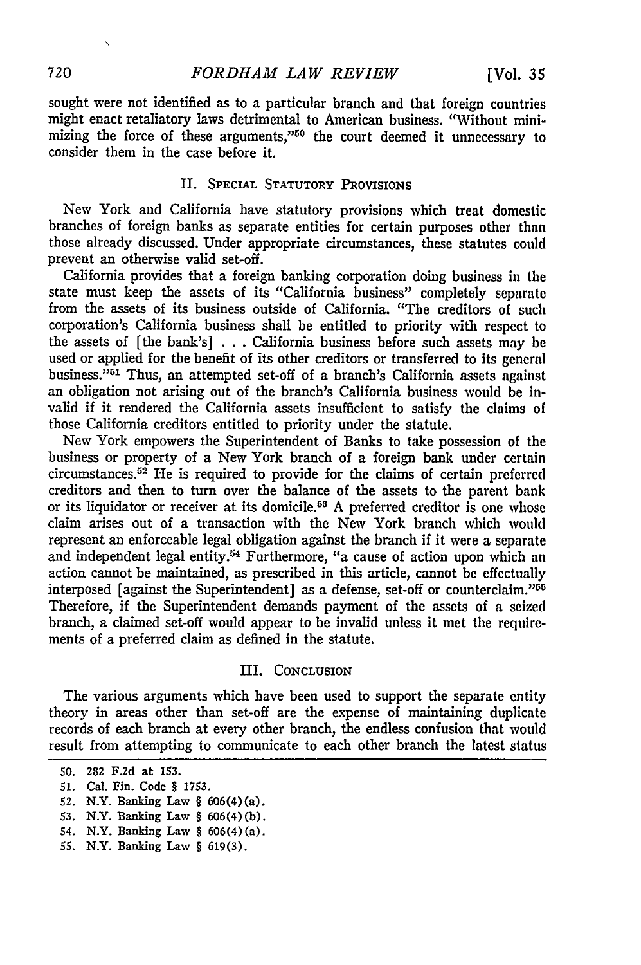sought were not identified as to a particular branch and that foreign countries might enact retaliatory laws detrimental to American business. "Without minimizing the force of these arguments,"50 the court deemed it unnecessary to consider them in the case before it.

#### II. SPECIAL STATUTORY PROVISIONS

New York and California have statutory provisions which treat domestic branches of foreign banks as separate entities for certain purposes other than those already discussed. Under appropriate circumstances, these statutes could prevent an otherwise valid set-off.

California provides that a foreign banking corporation doing business in the state must keep the assets of its "California business" completely separate from the assets of its business outside of California. "The creditors of such corporation's California business shall be entitled to priority with respect to the assets of [the bank's] . . . California business before such assets may be used or applied for the benefit of its other creditors or transferred to its general business."<sup>51</sup> Thus, an attempted set-off of a branch's California assets against an obligation not arising out of the branch's California business would be invalid if it rendered the California assets insufficient to satisfy the claims of those California creditors entitled to priority under the statute.

New York empowers the Superintendent of Banks to take possession of the business or property of a New York branch of a foreign bank under certain circumstances. 52 He is required to provide for the claims of certain preferred creditors and then to turn over the balance of the assets to the parent bank or its liquidator or receiver at its domicile.<sup>58</sup> A preferred creditor is one whose claim arises out of a transaction with the New York branch which would represent an enforceable legal obligation against the branch if it were a separate and independent legal entity.<sup>54</sup> Furthermore, "a cause of action upon which an action cannot be maintained, as prescribed in this article, cannot be effectually interposed [against the Superintendent] as a defense, set-off or counterclaim."<sup>55</sup> Therefore, if the Superintendent demands payment of the assets of a seized branch, a claimed set-off would appear to be invalid unless it met the requirements of a preferred claim as defined in the statute.

### III. CONCLUSION

The various arguments which have been used to support the separate entity theory in areas other than set-off are the expense of maintaining duplicate records of each branch at every other branch, the endless confusion that would result from attempting to communicate to each other branch the latest status

 $\Delta$ 

**<sup>50. 282</sup> F.2d** at **153.**

**<sup>51.</sup>** Cal. Fin. Code § **1753.**

**<sup>52.</sup>** N.Y. Banking Law § 606(4)(a).

**<sup>53.</sup>** N.Y. Banking Law § 606(4)(b).

<sup>54.</sup> N.Y. Banking Law § 606(4) (a).

**<sup>55.</sup>** N.Y. Banking Law § 619(3).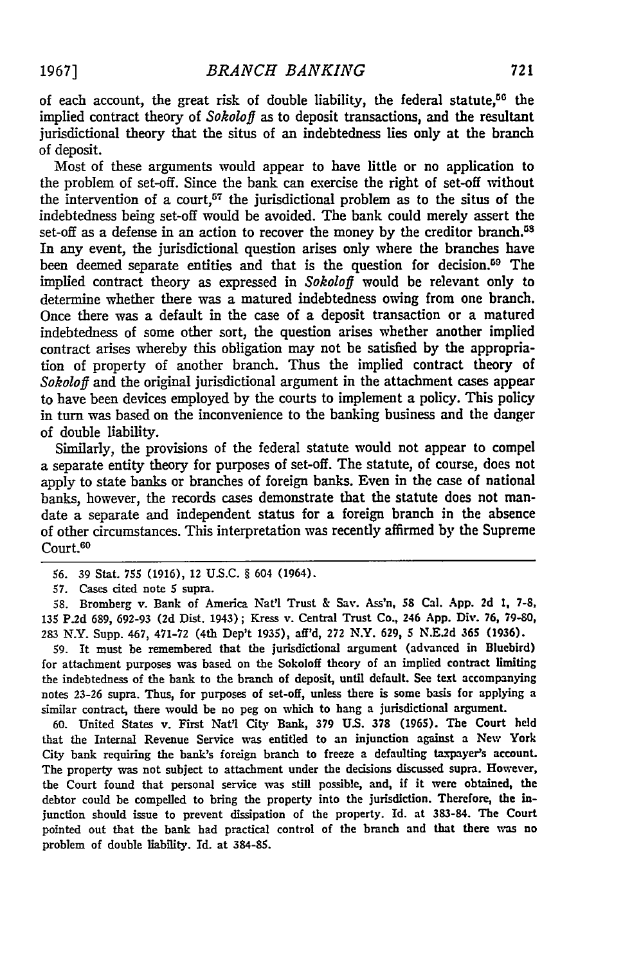of each account, the great risk of double liability, the federal statute,<sup>56</sup> the implied contract theory of *Sokoloff* as to deposit transactions, and the resultant jurisdictional theory that the situs of an indebtedness lies only at the branch of deposit.

Most of these arguments would appear to have little or no application to the problem of set-off. Since the bank can exercise the right of set-off without the intervention of a court,<sup>57</sup> the jurisdictional problem as to the situs of the indebtedness being set-off would be avoided. The bank could merely assert the set-off as a defense in an action to recover the money by the creditor branch.<sup>58</sup> In any event, the jurisdictional question arises only where the branches have been deemed separate entities and that is the question for decision.<sup>59</sup> The implied contract theory as expressed in *Sokoloff* would be relevant only to determine whether there was a matured indebtedness owing from one branch. Once there was a default in the case of a deposit transaction or a matured indebtedness of some other sort, the question arises whether another implied contract arises whereby this obligation may not be satisfied by the appropriation of property of another branch. Thus the implied contract theory of *Sokoloff* and the original jurisdictional argument in the attachment cases appear to have been devices employed by the courts to implement a policy. This policy in turn was based on the inconvenience to the banking business and the danger of double liability.

Similarly, the provisions of the federal statute would not appear to compel a separate entity theory for purposes of set-off. The statute, of course, does not apply to state banks or branches of foreign banks. Even in the case of national banks, however, the records cases demonstrate that the statute does not mandate a separate and independent status for a foreign branch in the absence of other circumstances. This interpretation was recently affirmed by the Supreme Court.<sup>60</sup>

58. Bromberg v. Bank of America **Nat'l** Trust & Say. Ass'n, **58** Cal. App. 2d **1,** 7-8, 135 P.2d 689, 692-93 **(2d** Dist. 1943); Kress v. Central Trust Co., 246 App. Div. **76,** 79-80, 283 N.Y. Supp. 467, 471-72 (4th Dep't 1935), aff'd, **272** N.Y. **629,** 5 **N.E2d 365 (1936).**

59. It must be remembered that the jurisdictional argument (advanced in Bluebird) for attachment purposes was based on the Sokoloff theory of an implied contract limiting the indebtedness of the bank to the branch of deposit, until default. See text accompanying notes 23-26 supra. Thus, for purposes of set-off, unless there is some basis for applying a similar contract, there would be no peg on which to hang a jurisdictional argument.

60. United States v. First Nat'l City Bank, 379 **US. 378** (1965). The Court held that the Internal Revenue Service was entitled to an injunction against a New York City bank requiring the bank's foreign branch to freeze a defaulting taxpayer's account. The property was not subject to attachment under the decisions discussed supra. However, the Court found that personal service was still possible, and, if it were obtained, the debtor could be compelled to bring the property into the jurisdiction. Therefore, the injunction should issue to prevent dissipation of the property. **Id.** at 383-84. The Court pointed out that the bank had practical control of the branch and that there was no problem of double liability. Id. at 384-85.

<sup>56. 39</sup> Stat. 755 (1916), 12 U.S.C. § 604 (1964).

<sup>57.</sup> Cases cited note 5 supra.